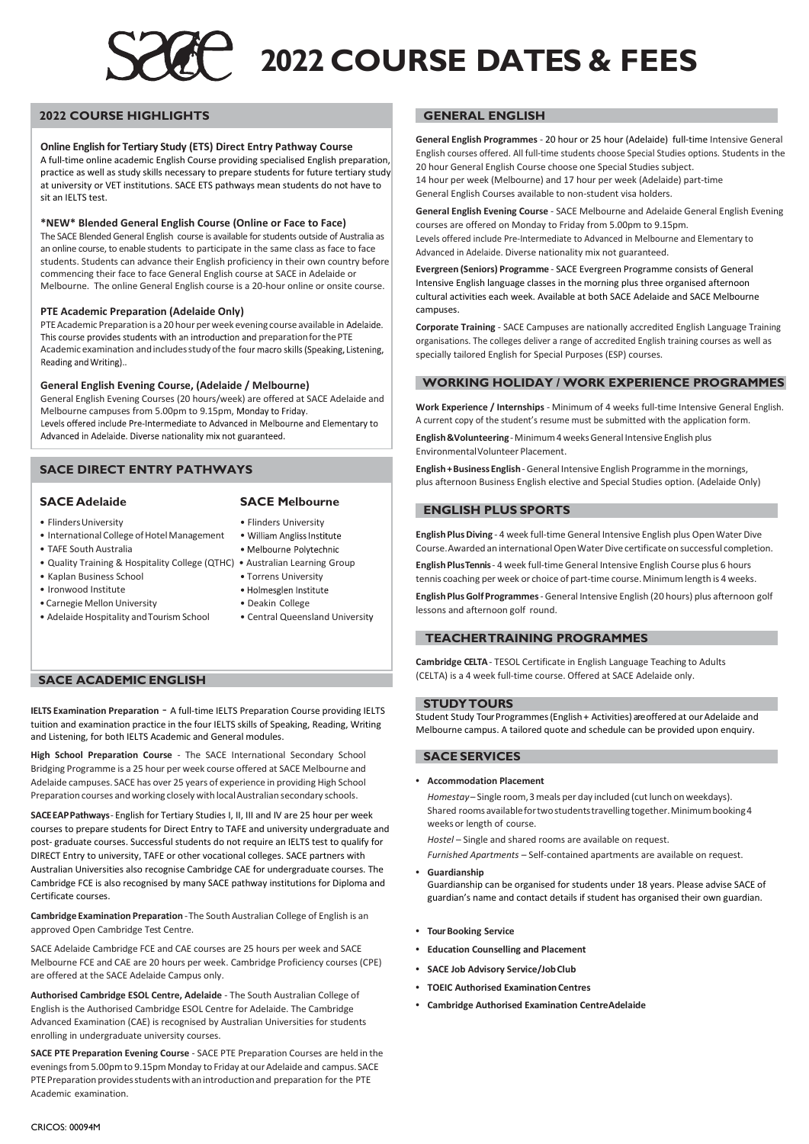# **2022 COURSE DATES & FEES**

#### **2022 COURSE HIGHLIGHTS**

#### **Online English for Tertiary Study (ETS) Direct Entry Pathway Course**

A full-time online academic English Course providing specialised English preparation, practice as well as study skills necessary to prepare students for future tertiary study at university or VET institutions. SACE ETS pathways mean students do not have to sit an IELTS test.

#### **\*NEW\* Blended General English Course (Online or Face to Face)**

The SACE Blended General English course is available for students outside of Australia as an online course, to enable students to participate in the same class as face to face students. Students can advance their English proficiency in their own country before commencing their face to face General English course at SACE in Adelaide or Melbourne. The online General English course is a 20-hour online or onsite course.

#### **PTE Academic Preparation (Adelaide Only)**

PTE Academic Preparation is a 20 hour per week evening course available in Adelaide. This course provides students with an introduction and preparation for the PTE Academic examination and includes study of the four macro skills (Speaking, Listening, Reading and Writing)..

#### **General English Evening Course, (Adelaide / Melbourne)**

General English Evening Courses (20 hours/week) are offered at SACE Adelaide and Melbourne campuses from 5.00pm to 9.15pm, Monday to Friday.<br>Levels offered include Pre-Intermediate to Advanced in Melbourne and Elementary to Advanced in Adelaide. Diverse nationality mix not guaranteed.

#### **SACE DIRECT ENTRY PATHWAYS**

#### **SACE Adelaide SACE Melbourne**

- FlindersUniversity Flinders University
- International College of Hotel Management
- TAFE South Australia
- Quality Training & Hospitality College (QTHC) Australian Learning Group
- Kaplan Business School
- Ironwood Institute
- Carnegie Mellon University Deakin College
- Adelaide Hospitality and Tourism School Central Queensland University

- 
- 
- · Melbourne Polytechnic
- 
- 
- · Holmesglen Institute
- -

#### **SACE ACADEMIC ENGLISH**

**IELTS Examination Preparation** - A full-time IELTS Preparation Course providing IELTS tuition and examination practice in the four IELTS skills of Speaking, Reading, Writing and Listening, for both IELTS Academic and General modules.

**High School Preparation Course** ‐ The SACE International Secondary School Bridging Programme is a 25 hour per week course offered at SACE Melbourne and Adelaide campuses. SACE has over 25 years of experience in providing High School Preparation courses and working closely with local Australian secondary schools.

**SACEEAPPathways**‐ English for Tertiary Studies I, II, III and IV are 25 hour per week courses to prepare students for Direct Entry to TAFE and university undergraduate and post- graduate courses. Successful students do not require an IELTS test to qualify for DIRECT Entry to university, TAFE or other vocational colleges. SACE partners with Australian Universities also recognise Cambridge CAE for undergraduate courses. The Cambridge FCE is also recognised by many SACE pathway institutions for Diploma and Certificate courses.

**Cambridge Examination Preparation** ‐The South Australian College of English is an approved Open Cambridge Test Centre.

SACE Adelaide Cambridge FCE and CAE courses are 25 hours per week and SACE Melbourne FCE and CAE are 20 hours per week. Cambridge Proficiency courses (CPE) are offered at the SACE Adelaide Campus only.

**Authorised Cambridge ESOL Centre, Adelaide** ‐ The South Australian College of English is the Authorised Cambridge ESOL Centre for Adelaide. The Cambridge Advanced Examination (CAE) is recognised by Australian Universities for students enrolling in undergraduate university courses.

**SACE PTE Preparation Evening Course** ‐ SACE PTE Preparation Courses are held in the evenings from 5.00pm to 9.15pm Monday to Friday at our Adelaide and campus. SACE PTE Preparation provides students with an introduction and preparation for the PTE Academic examination.

#### **GENERAL ENGLISH**

**General English Programmes** ‐ 20 hour or 25 hour (Adelaide) full‐time Intensive General English courses offered. All full‐time students choose Special Studies options. Students in the 20 hour General English Course choose one Special Studies subject. 14 hour per week (Melbourne) and 17 hour per week (Adelaide) part-time

General English Courses available to non‐student visa holders.

**General English Evening Course** ‐ SACE Melbourne and Adelaide General English Evening courses are offered on Monday to Friday from 5.00pm to 9.15pm. Levels offered include Pre‐Intermediate to Advanced in Melbourne and Elementary to Advanced in Adelaide. Diverse nationality mix not guaranteed.

**Evergreen (Seniors) Programme** ‐ SACE Evergreen Programme consists of General Intensive English language classes in the morning plus three organised afternoon cultural activities each week. Available at both SACE Adelaide and SACE Melbourne campuses.

**Corporate Training** ‐ SACE Campuses are nationally accredited English Language Training organisations. The colleges deliver a range of accredited English training courses as well as specially tailored English for Special Purposes (ESP) courses.

#### **WORKING HOLIDAY / WORK EXPERIENCE PROGRAMMES**

**Work Experience / Internships** ‐ Minimum of 4 weeks full‐time Intensive General English. A current copy of the student's resume must be submitted with the application form.

English & Volunteering - Minimum 4 weeks General Intensive English plus EnvironmentalVolunteer Placement.

**English+BusinessEnglish**‐General Intensive English Programme in themornings, plus afternoon Business English elective and Special Studies option. (Adelaide Only)

#### **ENGLISH PLUS SPORTS**

English Plus Diving - 4 week full-time General Intensive English plus Open Water Dive Course. Awarded an international Open Water Dive certificate on successful completion.

**EnglishPlusTennis**‐ 4 week full‐time General Intensive English Course plus 6 hours tennis coaching per week or choice of part-time course. Minimum length is 4 weeks.

**EnglishPlusGolfProgrammes**‐ General Intensive English (20 hours) plus afternoon golf lessons and afternoon golf round.

### **TEACHERTRAINING PROGRAMMES**

**Cambridge CELTA** ‐ TESOL Certificate in English Language Teaching to Adults (CELTA) is a 4 week full-time course. Offered at SACE Adelaide only.

#### **STUDYTOURS**

Student Study Tour Programmes (English + Activities) are offered at our Adelaide and Melbourne campus. A tailored quote and schedule can be provided upon enquiry.

#### **SACE SERVICES**

**• Accommodation Placement**

*Homestay*– Single room,3meals per day included (cutlunch on weekdays). Shared rooms available for two students travelling together. Minimum booking 4 weeksor length of course.

*Hostel* – Single and shared rooms are available on request.

*Furnished Apartments* – Self‐contained apartments are available on request.

- **• Guardianship** Guardianship can be organised for students under 18 years. Please advise SACE of guardian's name and contact details if student has organised their own guardian.
- **• Tour Booking Service**
- **• Education Counselling and Placement**
- **• SACE Job Advisory Service/JobClub**
- **• TOEIC Authorised ExaminationCentres**
- **• Cambridge Authorised Examination CentreAdelaide**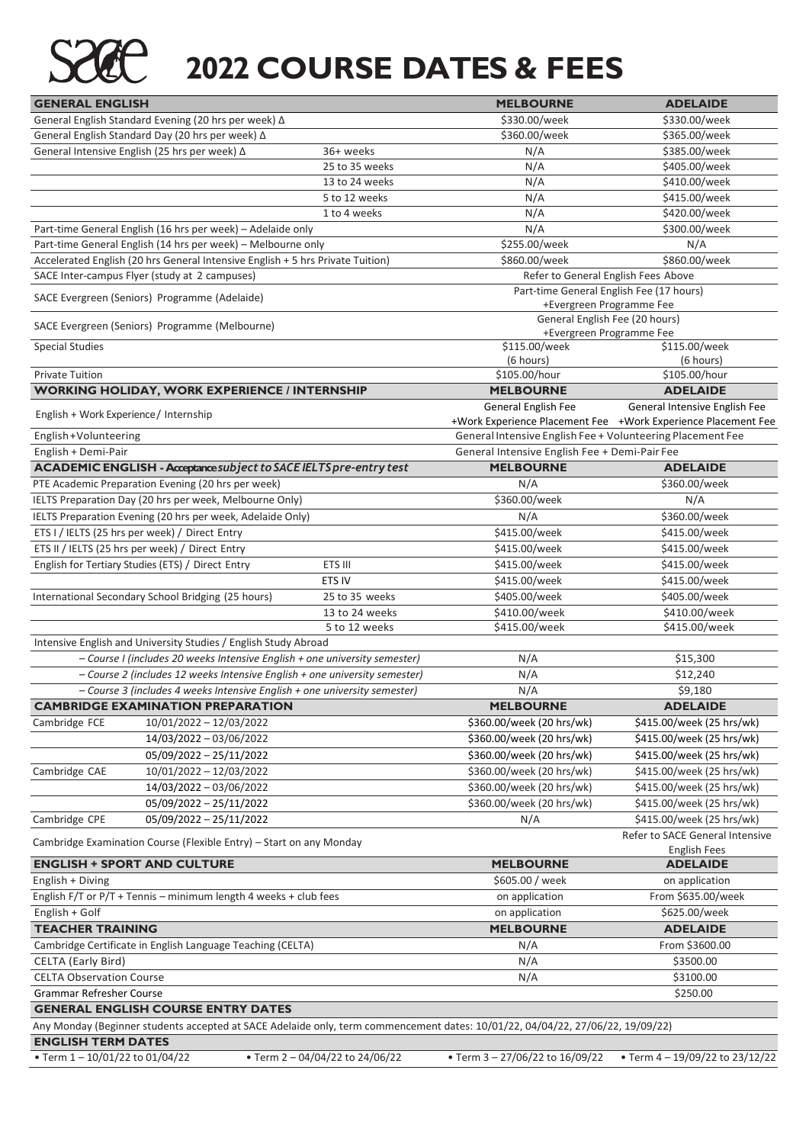

### **2022 COURSE DATES & FEES**

| <b>GENERAL ENGLISH</b>                                                                                                         |                               | <b>MELBOURNE</b>                                                     | <b>ADELAIDE</b>                                               |  |  |
|--------------------------------------------------------------------------------------------------------------------------------|-------------------------------|----------------------------------------------------------------------|---------------------------------------------------------------|--|--|
| General English Standard Evening (20 hrs per week) ∆                                                                           |                               | \$330.00/week                                                        | \$330.00/week                                                 |  |  |
| General English Standard Day (20 hrs per week) ∆                                                                               |                               | \$360.00/week                                                        | \$365.00/week                                                 |  |  |
| General Intensive English (25 hrs per week) ∆                                                                                  | 36+ weeks                     | N/A                                                                  | \$385.00/week                                                 |  |  |
|                                                                                                                                | 25 to 35 weeks                | N/A                                                                  | \$405.00/week                                                 |  |  |
|                                                                                                                                | 13 to 24 weeks                | N/A                                                                  | \$410.00/week                                                 |  |  |
|                                                                                                                                | 5 to 12 weeks                 | N/A                                                                  | \$415.00/week                                                 |  |  |
|                                                                                                                                | 1 to 4 weeks                  | N/A                                                                  | \$420.00/week                                                 |  |  |
| Part-time General English (16 hrs per week) - Adelaide only                                                                    |                               | N/A                                                                  | \$300.00/week                                                 |  |  |
| Part-time General English (14 hrs per week) - Melbourne only                                                                   |                               | \$255.00/week                                                        | N/A                                                           |  |  |
| Accelerated English (20 hrs General Intensive English + 5 hrs Private Tuition)                                                 |                               | \$860.00/week                                                        | \$860.00/week                                                 |  |  |
| SACE Inter-campus Flyer (study at 2 campuses)                                                                                  |                               |                                                                      | Refer to General English Fees Above                           |  |  |
| SACE Evergreen (Seniors) Programme (Adelaide)                                                                                  |                               | Part-time General English Fee (17 hours)<br>+Evergreen Programme Fee |                                                               |  |  |
| SACE Evergreen (Seniors) Programme (Melbourne)                                                                                 |                               | General English Fee (20 hours)<br>+Evergreen Programme Fee           |                                                               |  |  |
| <b>Special Studies</b>                                                                                                         |                               | \$115.00/week<br>(6 hours)                                           | \$115.00/week<br>(6 hours)                                    |  |  |
| <b>Private Tuition</b>                                                                                                         |                               | \$105.00/hour                                                        | \$105.00/hour                                                 |  |  |
| <b>WORKING HOLIDAY, WORK EXPERIENCE / INTERNSHIP</b>                                                                           |                               | <b>MELBOURNE</b>                                                     | <b>ADELAIDE</b>                                               |  |  |
|                                                                                                                                |                               | General English Fee                                                  | General Intensive English Fee                                 |  |  |
| English + Work Experience / Internship                                                                                         |                               |                                                                      | +Work Experience Placement Fee +Work Experience Placement Fee |  |  |
| English+Volunteering                                                                                                           |                               | General Intensive English Fee + Volunteering Placement Fee           |                                                               |  |  |
| English + Demi-Pair                                                                                                            |                               | General Intensive English Fee + Demi-Pair Fee                        |                                                               |  |  |
| ACADEMIC ENGLISH - Acceptance subject to SACE IELTS pre-entry test                                                             |                               | <b>MELBOURNE</b>                                                     | <b>ADELAIDE</b>                                               |  |  |
| PTE Academic Preparation Evening (20 hrs per week)                                                                             |                               | N/A                                                                  | \$360.00/week                                                 |  |  |
| IELTS Preparation Day (20 hrs per week, Melbourne Only)                                                                        |                               | \$360.00/week                                                        | N/A                                                           |  |  |
| IELTS Preparation Evening (20 hrs per week, Adelaide Only)                                                                     |                               | N/A                                                                  | \$360.00/week                                                 |  |  |
| ETS I / IELTS (25 hrs per week) / Direct Entry                                                                                 |                               | \$415.00/week                                                        | \$415.00/week                                                 |  |  |
| ETS II / IELTS (25 hrs per week) / Direct Entry                                                                                |                               | \$415.00/week                                                        | \$415.00/week                                                 |  |  |
| English for Tertiary Studies (ETS) / Direct Entry                                                                              | ETS III                       | \$415.00/week                                                        | \$415.00/week                                                 |  |  |
|                                                                                                                                | ETS IV                        | \$415.00/week                                                        | \$415.00/week                                                 |  |  |
| International Secondary School Bridging (25 hours)                                                                             | 25 to 35 weeks                | \$405.00/week                                                        | \$405.00/week                                                 |  |  |
|                                                                                                                                | 13 to 24 weeks                | \$410.00/week                                                        | \$410.00/week                                                 |  |  |
|                                                                                                                                | 5 to 12 weeks                 | \$415.00/week                                                        | \$415.00/week                                                 |  |  |
| Intensive English and University Studies / English Study Abroad                                                                |                               |                                                                      |                                                               |  |  |
| - Course I (includes 20 weeks Intensive English + one university semester)                                                     |                               | N/A                                                                  | \$15,300                                                      |  |  |
| - Course 2 (includes 12 weeks Intensive English + one university semester)                                                     |                               | N/A                                                                  | \$12,240                                                      |  |  |
| - Course 3 (includes 4 weeks Intensive English + one university semester)                                                      |                               | N/A                                                                  | \$9,180                                                       |  |  |
| <b>CAMBRIDGE EXAMINATION PREPARATION</b>                                                                                       |                               | <b>MELBOURNE</b>                                                     | <b>ADELAIDE</b>                                               |  |  |
| 10/01/2022 - 12/03/2022<br>Cambridge FCE                                                                                       |                               | \$360.00/week (20 hrs/wk)                                            | \$415.00/week (25 hrs/wk)                                     |  |  |
| 14/03/2022 - 03/06/2022                                                                                                        |                               | \$360.00/week (20 hrs/wk)                                            | \$415.00/week (25 hrs/wk)                                     |  |  |
| 05/09/2022 - 25/11/2022                                                                                                        |                               | \$360.00/week (20 hrs/wk)                                            | \$415.00/week (25 hrs/wk)                                     |  |  |
| 10/01/2022 - 12/03/2022<br>Cambridge CAE                                                                                       |                               | \$360.00/week (20 hrs/wk)                                            | \$415.00/week (25 hrs/wk)                                     |  |  |
| 14/03/2022 - 03/06/2022                                                                                                        |                               | \$360.00/week (20 hrs/wk)                                            | \$415.00/week (25 hrs/wk)                                     |  |  |
| 05/09/2022 - 25/11/2022                                                                                                        |                               | \$360.00/week (20 hrs/wk)                                            | \$415.00/week (25 hrs/wk)                                     |  |  |
| 05/09/2022 - 25/11/2022<br>Cambridge CPE                                                                                       |                               | N/A                                                                  | \$415.00/week (25 hrs/wk)                                     |  |  |
| Cambridge Examination Course (Flexible Entry) - Start on any Monday                                                            |                               |                                                                      | Refer to SACE General Intensive<br><b>English Fees</b>        |  |  |
| <b>ENGLISH + SPORT AND CULTURE</b>                                                                                             |                               | <b>MELBOURNE</b>                                                     | <b>ADELAIDE</b>                                               |  |  |
| English + Diving                                                                                                               |                               | \$605.00 / week                                                      | on application                                                |  |  |
| English $F/T$ or $P/T +$ Tennis – minimum length 4 weeks + club fees                                                           |                               | on application                                                       | From \$635.00/week                                            |  |  |
| English + Golf                                                                                                                 |                               | on application                                                       | \$625.00/week                                                 |  |  |
| <b>TEACHER TRAINING</b>                                                                                                        |                               | <b>MELBOURNE</b>                                                     | <b>ADELAIDE</b>                                               |  |  |
| Cambridge Certificate in English Language Teaching (CELTA)                                                                     |                               | N/A                                                                  | From \$3600.00                                                |  |  |
| <b>CELTA (Early Bird)</b>                                                                                                      |                               | N/A                                                                  | \$3500.00                                                     |  |  |
| <b>CELTA Observation Course</b>                                                                                                |                               | N/A                                                                  | \$3100.00                                                     |  |  |
| Grammar Refresher Course                                                                                                       |                               |                                                                      | \$250.00                                                      |  |  |
| <b>GENERAL ENGLISH COURSE ENTRY DATES</b>                                                                                      |                               |                                                                      |                                                               |  |  |
| Any Monday (Beginner students accepted at SACE Adelaide only, term commencement dates: 10/01/22, 04/04/22, 27/06/22, 19/09/22) |                               |                                                                      |                                                               |  |  |
| <b>ENGLISH TERM DATES</b>                                                                                                      |                               |                                                                      |                                                               |  |  |
| • Term 1-10/01/22 to 01/04/22                                                                                                  | • Term 2-04/04/22 to 24/06/22 | • Term 3-27/06/22 to 16/09/22                                        | • Term 4-19/09/22 to 23/12/22                                 |  |  |
|                                                                                                                                |                               |                                                                      |                                                               |  |  |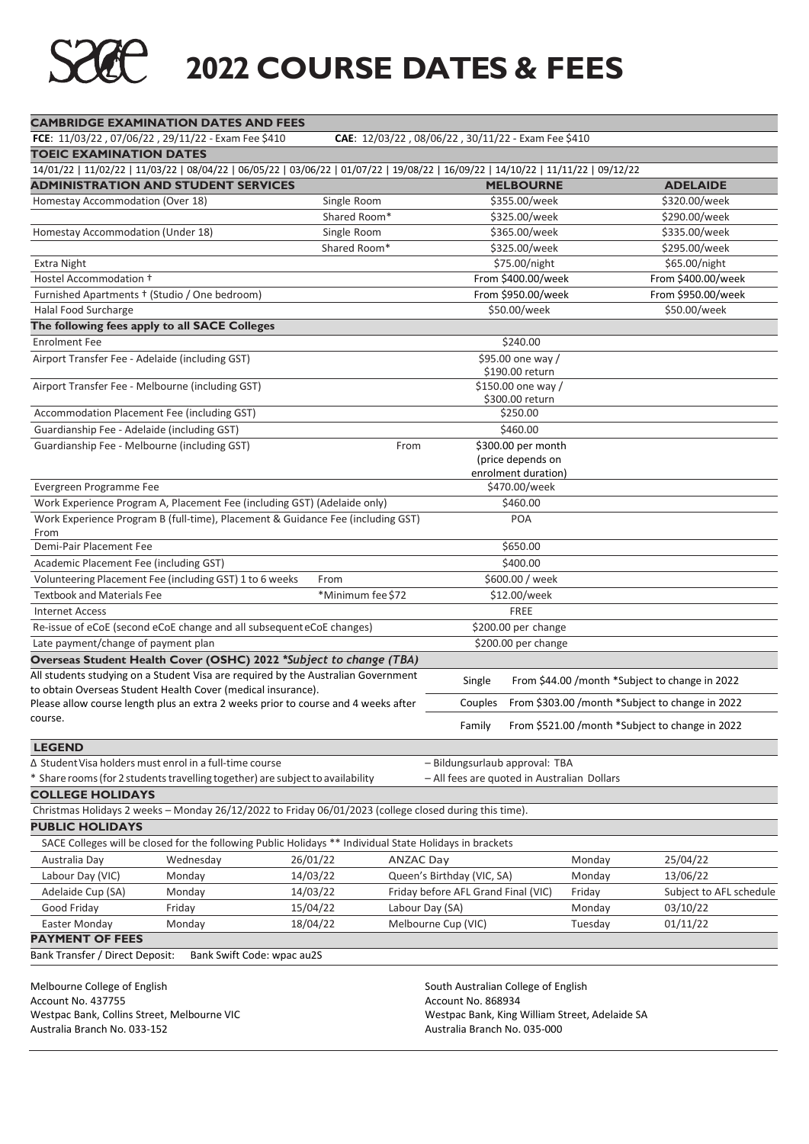## **2022 COURSE DATES & FEES**

| <b>CAMBRIDGE EXAMINATION DATES AND FEES</b>                                    |                            |                                                                                                                                   |                  |                                                    |                                          |         |                                                 |
|--------------------------------------------------------------------------------|----------------------------|-----------------------------------------------------------------------------------------------------------------------------------|------------------|----------------------------------------------------|------------------------------------------|---------|-------------------------------------------------|
| FCE: 11/03/22, 07/06/22, 29/11/22 - Exam Fee \$410                             |                            |                                                                                                                                   |                  | CAE: 12/03/22, 08/06/22, 30/11/22 - Exam Fee \$410 |                                          |         |                                                 |
| <b>TOEIC EXAMINATION DATES</b>                                                 |                            |                                                                                                                                   |                  |                                                    |                                          |         |                                                 |
|                                                                                |                            | 14/01/22   11/02/22   11/03/22   08/04/22   06/05/22   03/06/22   01/07/22   19/08/22   16/09/22   14/10/22   11/11/22   09/12/22 |                  |                                                    |                                          |         |                                                 |
| <b>ADMINISTRATION AND STUDENT SERVICES</b>                                     |                            |                                                                                                                                   |                  |                                                    | <b>MELBOURNE</b>                         |         | <b>ADELAIDE</b>                                 |
| Homestay Accommodation (Over 18)                                               |                            | Single Room                                                                                                                       |                  |                                                    | \$355.00/week                            |         | \$320.00/week                                   |
|                                                                                |                            | Shared Room*                                                                                                                      |                  |                                                    | \$325.00/week                            |         | \$290.00/week                                   |
| Homestay Accommodation (Under 18)                                              |                            | Single Room                                                                                                                       |                  |                                                    | \$365.00/week                            |         | \$335.00/week                                   |
|                                                                                |                            | Shared Room*                                                                                                                      |                  |                                                    | \$325.00/week                            |         | \$295.00/week                                   |
| <b>Extra Night</b>                                                             |                            |                                                                                                                                   |                  |                                                    | \$75.00/night<br>From \$400.00/week      |         | \$65.00/night                                   |
| Hostel Accommodation +                                                         |                            |                                                                                                                                   |                  |                                                    | From \$950.00/week                       |         | From \$400.00/week<br>From \$950.00/week        |
| Furnished Apartments + (Studio / One bedroom)<br>Halal Food Surcharge          |                            |                                                                                                                                   |                  |                                                    | \$50.00/week                             |         | \$50.00/week                                    |
| The following fees apply to all SACE Colleges                                  |                            |                                                                                                                                   |                  |                                                    |                                          |         |                                                 |
| <b>Enrolment Fee</b>                                                           |                            |                                                                                                                                   |                  |                                                    | \$240.00                                 |         |                                                 |
| Airport Transfer Fee - Adelaide (including GST)                                |                            |                                                                                                                                   |                  |                                                    | \$95.00 one way /                        |         |                                                 |
|                                                                                |                            |                                                                                                                                   |                  |                                                    | \$190.00 return                          |         |                                                 |
| Airport Transfer Fee - Melbourne (including GST)                               |                            |                                                                                                                                   |                  |                                                    | \$150.00 one way /                       |         |                                                 |
|                                                                                |                            |                                                                                                                                   |                  |                                                    | \$300.00 return                          |         |                                                 |
| Accommodation Placement Fee (including GST)                                    |                            |                                                                                                                                   |                  |                                                    | \$250.00                                 |         |                                                 |
| Guardianship Fee - Adelaide (including GST)                                    |                            |                                                                                                                                   |                  |                                                    | \$460.00                                 |         |                                                 |
| Guardianship Fee - Melbourne (including GST)                                   |                            |                                                                                                                                   | From             |                                                    | \$300.00 per month                       |         |                                                 |
|                                                                                |                            |                                                                                                                                   |                  |                                                    | (price depends on<br>enrolment duration) |         |                                                 |
| Evergreen Programme Fee                                                        |                            |                                                                                                                                   |                  |                                                    | \$470.00/week                            |         |                                                 |
|                                                                                |                            | Work Experience Program A, Placement Fee (including GST) (Adelaide only)                                                          |                  |                                                    | \$460.00                                 |         |                                                 |
|                                                                                |                            | Work Experience Program B (full-time), Placement & Guidance Fee (including GST)                                                   |                  |                                                    | POA                                      |         |                                                 |
| From<br>Demi-Pair Placement Fee                                                |                            |                                                                                                                                   |                  |                                                    | \$650.00                                 |         |                                                 |
| Academic Placement Fee (including GST)                                         |                            |                                                                                                                                   |                  |                                                    | \$400.00                                 |         |                                                 |
| Volunteering Placement Fee (including GST) 1 to 6 weeks                        |                            | From                                                                                                                              |                  |                                                    | \$600.00 / week                          |         |                                                 |
| <b>Textbook and Materials Fee</b>                                              |                            | *Minimum fee \$72                                                                                                                 |                  |                                                    | \$12.00/week                             |         |                                                 |
| <b>Internet Access</b>                                                         |                            |                                                                                                                                   |                  |                                                    | <b>FREE</b>                              |         |                                                 |
| Re-issue of eCoE (second eCoE change and all subsequent eCoE changes)          |                            |                                                                                                                                   |                  |                                                    | \$200.00 per change                      |         |                                                 |
| Late payment/change of payment plan                                            |                            |                                                                                                                                   |                  |                                                    | \$200.00 per change                      |         |                                                 |
|                                                                                |                            | Overseas Student Health Cover (OSHC) 2022 *Subject to change (TBA)                                                                |                  |                                                    |                                          |         |                                                 |
|                                                                                |                            | All students studying on a Student Visa are required by the Australian Government                                                 |                  |                                                    |                                          |         |                                                 |
| to obtain Overseas Student Health Cover (medical insurance).                   |                            |                                                                                                                                   |                  | Single                                             |                                          |         | From \$44.00 /month *Subject to change in 2022  |
|                                                                                |                            | Please allow course length plus an extra 2 weeks prior to course and 4 weeks after                                                |                  | Couples                                            |                                          |         | From \$303.00 /month *Subject to change in 2022 |
| course.                                                                        |                            |                                                                                                                                   |                  | Family                                             |                                          |         | From \$521.00 /month *Subject to change in 2022 |
| <b>LEGEND</b>                                                                  |                            |                                                                                                                                   |                  |                                                    |                                          |         |                                                 |
| ∆ Student Visa holders must enrol in a full-time course                        |                            |                                                                                                                                   |                  | - Bildungsurlaub approval: TBA                     |                                          |         |                                                 |
| * Share rooms (for 2 students travelling together) are subject to availability |                            |                                                                                                                                   |                  | - All fees are quoted in Australian Dollars        |                                          |         |                                                 |
| <b>COLLEGE HOLIDAYS</b>                                                        |                            |                                                                                                                                   |                  |                                                    |                                          |         |                                                 |
|                                                                                |                            | Christmas Holidays 2 weeks - Monday 26/12/2022 to Friday 06/01/2023 (college closed during this time).                            |                  |                                                    |                                          |         |                                                 |
| <b>PUBLIC HOLIDAYS</b>                                                         |                            |                                                                                                                                   |                  |                                                    |                                          |         |                                                 |
|                                                                                |                            | SACE Colleges will be closed for the following Public Holidays ** Individual State Holidays in brackets                           |                  |                                                    |                                          |         |                                                 |
| Australia Day                                                                  | Wednesday                  | 26/01/22                                                                                                                          | <b>ANZAC Day</b> |                                                    |                                          | Monday  | 25/04/22                                        |
| Labour Day (VIC)                                                               | Monday                     | 14/03/22                                                                                                                          |                  | Queen's Birthday (VIC, SA)                         |                                          | Monday  | 13/06/22                                        |
| Adelaide Cup (SA)                                                              | Monday                     | 14/03/22                                                                                                                          |                  | Friday before AFL Grand Final (VIC)                |                                          | Friday  | Subject to AFL schedule                         |
| Good Friday                                                                    | Friday                     | 15/04/22                                                                                                                          |                  | Labour Day (SA)                                    |                                          | Monday  | 03/10/22                                        |
| Easter Monday                                                                  | Monday                     | 18/04/22                                                                                                                          |                  | Melbourne Cup (VIC)                                |                                          | Tuesday | 01/11/22                                        |
| <b>PAYMENT OF FEES</b>                                                         |                            |                                                                                                                                   |                  |                                                    |                                          |         |                                                 |
| Bank Transfer / Direct Deposit:                                                | Bank Swift Code: wpac au2S |                                                                                                                                   |                  |                                                    |                                          |         |                                                 |
| Melbourne College of English                                                   |                            |                                                                                                                                   |                  | South Australian College of English                |                                          |         |                                                 |
| Account No. 437755                                                             |                            |                                                                                                                                   |                  | Account No. 868934                                 |                                          |         |                                                 |
| Westpac Bank, Collins Street, Melbourne VIC                                    |                            |                                                                                                                                   |                  | Westpac Bank, King William Street, Adelaide SA     |                                          |         |                                                 |
| Australia Branch No. 033-152                                                   |                            | Australia Branch No. 035-000                                                                                                      |                  |                                                    |                                          |         |                                                 |